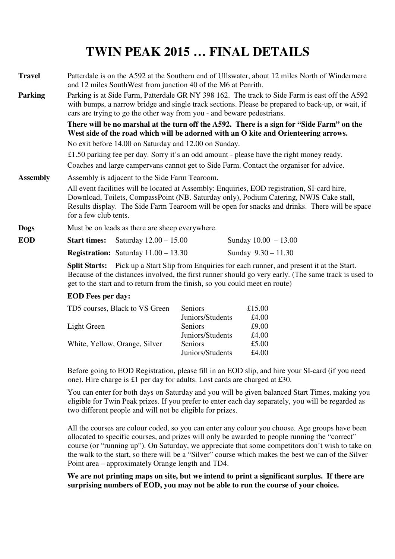# **TWIN PEAK 2015 … FINAL DETAILS**

**Travel** Patterdale is on the A592 at the Southern end of Ullswater, about 12 miles North of Windermere and 12 miles SouthWest from junction 40 of the M6 at Penrith. **Parking** Parking is at Side Farm, Patterdale GR NY 398 162. The track to Side Farm is east off the A592 with bumps, a narrow bridge and single track sections. Please be prepared to back-up, or wait, if cars are trying to go the other way from you - and beware pedestrians.  **There will be no marshal at the turn off the A592. There is a sign for "Side Farm" on the West side of the road which will be adorned with an O kite and Orienteering arrows.** No exit before 14.00 on Saturday and 12.00 on Sunday. £1.50 parking fee per day. Sorry it's an odd amount - please have the right money ready. Coaches and large campervans cannot get to Side Farm. Contact the organiser for advice. **Assembly** Assembly is adjacent to the Side Farm Tearoom. All event facilities will be located at Assembly: Enquiries, EOD registration, SI-card hire, Download, Toilets, CompassPoint (NB. Saturday only), Podium Catering, NWJS Cake stall, Results display. The Side Farm Tearoom will be open for snacks and drinks. There will be space for a few club tents. **Dogs** Must be on leads as there are sheep everywhere. **EOD** Start times: Saturday  $12.00 - 15.00$  Sunday  $10.00 - 13.00$ **Registration:** Saturday 11.00 – 13.30 Sunday 9.30 – 11.30

> **Split Starts:** Pick up a Start Slip from Enquiries for each runner, and present it at the Start. Because of the distances involved, the first runner should go very early. (The same track is used to get to the start and to return from the finish, so you could meet en route)

#### **EOD Fees per day:**

| <b>Seniors</b>   | £15.00 |
|------------------|--------|
| Juniors/Students | £4.00  |
| Seniors          | £9.00  |
| Juniors/Students | £4.00  |
| Seniors          | £5.00  |
| Juniors/Students | £4.00  |
|                  |        |

 Before going to EOD Registration, please fill in an EOD slip, and hire your SI-card (if you need one). Hire charge is £1 per day for adults. Lost cards are charged at £30.

 You can enter for both days on Saturday and you will be given balanced Start Times, making you eligible for Twin Peak prizes. If you prefer to enter each day separately, you will be regarded as two different people and will not be eligible for prizes.

All the courses are colour coded, so you can enter any colour you choose. Age groups have been allocated to specific courses, and prizes will only be awarded to people running the "correct" course (or "running up"). On Saturday, we appreciate that some competitors don't wish to take on the walk to the start, so there will be a "Silver" course which makes the best we can of the Silver Point area – approximately Orange length and TD4.

**We are not printing maps on site, but we intend to print a significant surplus. If there are surprising numbers of EOD, you may not be able to run the course of your choice.**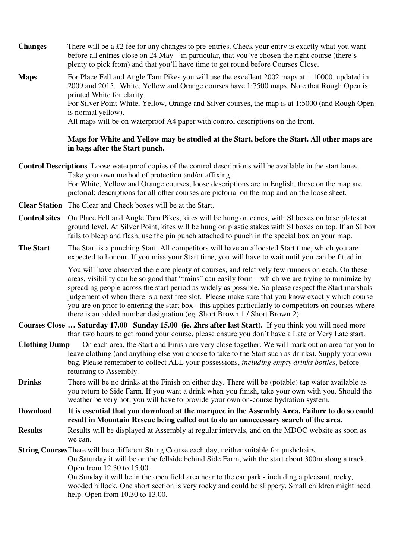**Changes** There will be a £2 fee for any changes to pre-entries. Check your entry is exactly what you want before all entries close on 24 May – in particular, that you've chosen the right course (there's plenty to pick from) and that you'll have time to get round before Courses Close.

**Maps** For Place Fell and Angle Tarn Pikes you will use the excellent 2002 maps at 1:10000, updated in 2009 and 2015. White, Yellow and Orange courses have 1:7500 maps. Note that Rough Open is printed White for clarity. For Silver Point White, Yellow, Orange and Silver courses, the map is at 1:5000 (and Rough Open is normal yellow). All maps will be on waterproof A4 paper with control descriptions on the front.

#### **Maps for White and Yellow may be studied at the Start, before the Start. All other maps are in bags after the Start punch.**

**Control Descriptions** Loose waterproof copies of the control descriptions will be available in the start lanes. Take your own method of protection and/or affixing. For White, Yellow and Orange courses, loose descriptions are in English, those on the map are pictorial; descriptions for all other courses are pictorial on the map and on the loose sheet.

- **Clear Station** The Clear and Check boxes will be at the Start.
- **Control sites** On Place Fell and Angle Tarn Pikes, kites will be hung on canes, with SI boxes on base plates at ground level. At Silver Point, kites will be hung on plastic stakes with SI boxes on top. If an SI box fails to bleep and flash, use the pin punch attached to punch in the special box on your map.
- **The Start** The Start is a punching Start. All competitors will have an allocated Start time, which you are expected to honour. If you miss your Start time, you will have to wait until you can be fitted in.

You will have observed there are plenty of courses, and relatively few runners on each. On these areas, visibility can be so good that "trains" can easily form – which we are trying to minimize by spreading people across the start period as widely as possible. So please respect the Start marshals judgement of when there is a next free slot. Please make sure that you know exactly which course you are on prior to entering the start box - this applies particularly to competitors on courses where there is an added number designation (eg. Short Brown 1 / Short Brown 2).

- **Courses Close … Saturday 17.00 Sunday 15.00 (ie. 2hrs after last Start).** If you think you will need more than two hours to get round your course, please ensure you don't have a Late or Very Late start.
- **Clothing Dump** On each area, the Start and Finish are very close together. We will mark out an area for you to leave clothing (and anything else you choose to take to the Start such as drinks). Supply your own bag. Please remember to collect ALL your possessions, *including empty drinks bottles*, before returning to Assembly.
- **Drinks** There will be no drinks at the Finish on either day. There will be (potable) tap water available as you return to Side Farm. If you want a drink when you finish, take your own with you. Should the weather be very hot, you will have to provide your own on-course hydration system.

**Download It is essential that you download at the marquee in the Assembly Area. Failure to do so could result in Mountain Rescue being called out to do an unnecessary search of the area.** 

**Results** Results will be displayed at Assembly at regular intervals, and on the MDOC website as soon as we can.

**String Courses** There will be a different String Course each day, neither suitable for pushchairs.

 On Saturday it will be on the fellside behind Side Farm, with the start about 300m along a track. Open from 12.30 to 15.00.

 On Sunday it will be in the open field area near to the car park - including a pleasant, rocky, wooded hillock. One short section is very rocky and could be slippery. Small children might need help. Open from 10.30 to 13.00.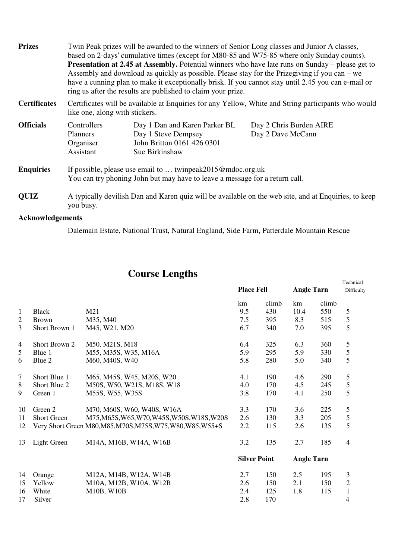| <b>Prizes</b>       | Twin Peak prizes will be awarded to the winners of Senior Long classes and Junior A classes,<br>based on 2-days' cumulative times (except for M80-85 and W75-85 where only Sunday counts).<br><b>Presentation at 2.45 at Assembly.</b> Potential winners who have late runs on Sunday – please get to<br>Assembly and download as quickly as possible. Please stay for the Prizegiving if you can – we<br>have a cunning plan to make it exceptionally brisk. If you cannot stay until 2.45 you can e-mail or<br>ring us after the results are published to claim your prize. |                                                                                                      |                                              |  |
|---------------------|-------------------------------------------------------------------------------------------------------------------------------------------------------------------------------------------------------------------------------------------------------------------------------------------------------------------------------------------------------------------------------------------------------------------------------------------------------------------------------------------------------------------------------------------------------------------------------|------------------------------------------------------------------------------------------------------|----------------------------------------------|--|
| <b>Certificates</b> | Certificates will be available at Enquiries for any Yellow, White and String participants who would<br>like one, along with stickers.                                                                                                                                                                                                                                                                                                                                                                                                                                         |                                                                                                      |                                              |  |
| <b>Officials</b>    | Controllers<br>Planners<br>Organiser<br>Assistant                                                                                                                                                                                                                                                                                                                                                                                                                                                                                                                             | Day 1 Dan and Karen Parker BL<br>Day 1 Steve Dempsey<br>John Britton 0161 426 0301<br>Sue Birkinshaw | Day 2 Chris Burden AIRE<br>Day 2 Dave McCann |  |
| <b>Enquiries</b>    | If possible, please use email to  twinpeak2015@mdoc.org.uk<br>You can try phoning John but may have to leave a message for a return call.                                                                                                                                                                                                                                                                                                                                                                                                                                     |                                                                                                      |                                              |  |
| <b>QUIZ</b>         | A typically devilish Dan and Karen quiz will be available on the web site, and at Enquiries, to keep<br>you busy.                                                                                                                                                                                                                                                                                                                                                                                                                                                             |                                                                                                      |                                              |  |

## **Acknowledgements**

Dalemain Estate, National Trust, Natural England, Side Farm, Patterdale Mountain Rescue

### **Course Lengths Technical**

|                |                    |                                                             | <b>Place Fell</b>   |       | <b>Angle Tarn</b> |       | Difficulty     |
|----------------|--------------------|-------------------------------------------------------------|---------------------|-------|-------------------|-------|----------------|
|                |                    |                                                             | km                  | climb | km                | climb |                |
| $\mathbf{1}$   | <b>Black</b>       | M21                                                         | 9.5                 | 430   | 10.4              | 550   | 5              |
| $\mathfrak{2}$ | <b>Brown</b>       | M35, M40                                                    | 7.5                 | 395   | 8.3               | 515   | $\mathfrak{S}$ |
| 3              | Short Brown 1      | M45, W21, M20                                               | 6.7                 | 340   | 7.0               | 395   | 5              |
| $\overline{4}$ | Short Brown 2      | M50, M21S, M18                                              | 6.4                 | 325   | 6.3               | 360   | $\mathfrak{S}$ |
| 5              | Blue 1             | M55, M35S, W35, M16A                                        | 5.9                 | 295   | 5.9               | 330   | $\mathfrak s$  |
| 6              | Blue 2             | M60, M40S, W40                                              | 5.8                 | 280   | 5.0               | 340   | 5              |
| 7              | Short Blue 1       | M65, M45S, W45, M20S, W20                                   | 4.1                 | 190   | 4.6               | 290   | 5              |
| 8              | Short Blue 2       | M50S, W50, W21S, M18S, W18                                  | 4.0                 | 170   | 4.5               | 245   | $\mathfrak s$  |
| 9              | Green 1            | M55S, W55, W35S                                             | 3.8                 | 170   | 4.1               | 250   | 5              |
| 10             | Green 2            | M70, M60S, W60, W40S, W16A                                  | 3.3                 | 170   | 3.6               | 225   | $\mathfrak{S}$ |
| 11             | <b>Short Green</b> | M75, M65S, W65, W70, W45S, W50S, W18S, W20S                 | 2.6                 | 130   | 3.3               | 205   | 5              |
| 12             |                    | Very Short Green M80, M85, M70S, M75S, W75, W80, W85, W55+S | 2.2                 | 115   | 2.6               | 135   | 5              |
| 13             | Light Green        | M14A, M16B, W14A, W16B                                      | 3.2                 | 135   | 2.7               | 185   | $\overline{4}$ |
|                |                    |                                                             | <b>Silver Point</b> |       | <b>Angle Tarn</b> |       |                |
| 14             | Orange             | M12A, M14B, W12A, W14B                                      | 2.7                 | 150   | 2.5               | 195   | 3              |
| 15             | Yellow             | M10A, M12B, W10A, W12B                                      | 2.6                 | 150   | 2.1               | 150   | $\sqrt{2}$     |
| 16             | White              | M10B, W10B                                                  | 2.4                 | 125   | 1.8               | 115   | $\mathbf{1}$   |
| 17             | Silver             |                                                             | 2.8                 | 170   |                   |       | 4              |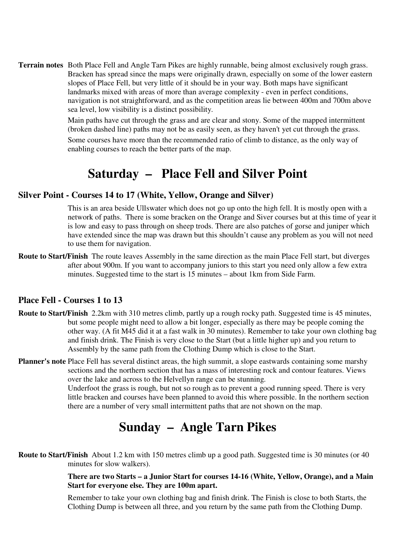**Terrain notes** Both Place Fell and Angle Tarn Pikes are highly runnable, being almost exclusively rough grass. Bracken has spread since the maps were originally drawn, especially on some of the lower eastern slopes of Place Fell, but very little of it should be in your way. Both maps have significant landmarks mixed with areas of more than average complexity - even in perfect conditions, navigation is not straightforward, and as the competition areas lie between 400m and 700m above sea level, low visibility is a distinct possibility.

> Main paths have cut through the grass and are clear and stony. Some of the mapped intermittent (broken dashed line) paths may not be as easily seen, as they haven't yet cut through the grass. Some courses have more than the recommended ratio of climb to distance, as the only way of enabling courses to reach the better parts of the map.

## **Saturday – Place Fell and Silver Point**

### **Silver Point - Courses 14 to 17 (White, Yellow, Orange and Silver)**

 This is an area beside Ullswater which does not go up onto the high fell. It is mostly open with a network of paths. There is some bracken on the Orange and Siver courses but at this time of year it is low and easy to pass through on sheep trods. There are also patches of gorse and juniper which have extended since the map was drawn but this shouldn't cause any problem as you will not need to use them for navigation.

**Route to Start/Finish** The route leaves Assembly in the same direction as the main Place Fell start, but diverges after about 900m. If you want to accompany juniors to this start you need only allow a few extra minutes. Suggested time to the start is 15 minutes – about 1km from Side Farm.

### **Place Fell - Courses 1 to 13**

- **Route to Start/Finish** 2.2km with 310 metres climb, partly up a rough rocky path. Suggested time is 45 minutes, but some people might need to allow a bit longer, especially as there may be people coming the other way. (A fit M45 did it at a fast walk in 30 minutes). Remember to take your own clothing bag and finish drink. The Finish is very close to the Start (but a little higher up) and you return to Assembly by the same path from the Clothing Dump which is close to the Start.
- **Planner's note** Place Fell has several distinct areas, the high summit, a slope eastwards containing some marshy sections and the northern section that has a mass of interesting rock and contour features. Views over the lake and across to the Helvellyn range can be stunning.

 Underfoot the grass is rough, but not so rough as to prevent a good running speed. There is very little bracken and courses have been planned to avoid this where possible. In the northern section there are a number of very small intermittent paths that are not shown on the map.

# **Sunday – Angle Tarn Pikes**

**Route to Start/Finish** About 1.2 km with 150 metres climb up a good path. Suggested time is 30 minutes (or 40 minutes for slow walkers).

#### **There are two Starts – a Junior Start for courses 14-16 (White, Yellow, Orange), and a Main Start for everyone else. They are 100m apart.**

Remember to take your own clothing bag and finish drink. The Finish is close to both Starts, the Clothing Dump is between all three, and you return by the same path from the Clothing Dump.